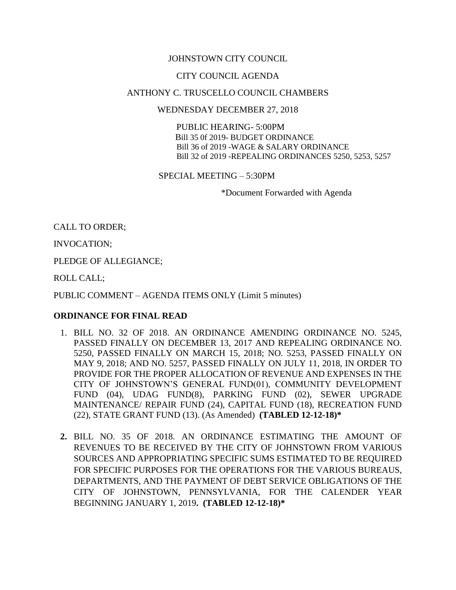## JOHNSTOWN CITY COUNCIL

### CITY COUNCIL AGENDA

### ANTHONY C. TRUSCELLO COUNCIL CHAMBERS

#### WEDNESDAY DECEMBER 27, 2018

 PUBLIC HEARING- 5:00PM Bill 35 0f 2019- BUDGET ORDINANCE Bill 36 of 2019 -WAGE & SALARY ORDINANCE Bill 32 of 2019 -REPEALING ORDINANCES 5250, 5253, 5257

SPECIAL MEETING – 5:30PM

\*Document Forwarded with Agenda

CALL TO ORDER;

INVOCATION;

PLEDGE OF ALLEGIANCE;

ROLL CALL;

PUBLIC COMMENT – AGENDA ITEMS ONLY (Limit 5 minutes)

## **ORDINANCE FOR FINAL READ**

- 1. BILL NO. 32 OF 2018. AN ORDINANCE AMENDING ORDINANCE NO. 5245, PASSED FINALLY ON DECEMBER 13, 2017 AND REPEALING ORDINANCE NO. 5250, PASSED FINALLY ON MARCH 15, 2018; NO. 5253, PASSED FINALLY ON MAY 9, 2018; AND NO. 5257, PASSED FINALLY ON JULY 11, 2018, IN ORDER TO PROVIDE FOR THE PROPER ALLOCATION OF REVENUE AND EXPENSES IN THE CITY OF JOHNSTOWN'S GENERAL FUND(01), COMMUNITY DEVELOPMENT FUND (04), UDAG FUND(8), PARKING FUND (02), SEWER UPGRADE MAINTENANCE/ REPAIR FUND (24), CAPITAL FUND (18), RECREATION FUND (22), STATE GRANT FUND (13). (As Amended) **(TABLED 12-12-18)\***
- **2.** BILL NO. 35 OF 2018. AN ORDINANCE ESTIMATING THE AMOUNT OF REVENUES TO BE RECEIVED BY THE CITY OF JOHNSTOWN FROM VARIOUS SOURCES AND APPROPRIATING SPECIFIC SUMS ESTIMATED TO BE REQUIRED FOR SPECIFIC PURPOSES FOR THE OPERATIONS FOR THE VARIOUS BUREAUS, DEPARTMENTS, AND THE PAYMENT OF DEBT SERVICE OBLIGATIONS OF THE CITY OF JOHNSTOWN, PENNSYLVANIA, FOR THE CALENDER YEAR BEGINNING JANUARY 1, 2019**. (TABLED 12-12-18)\***